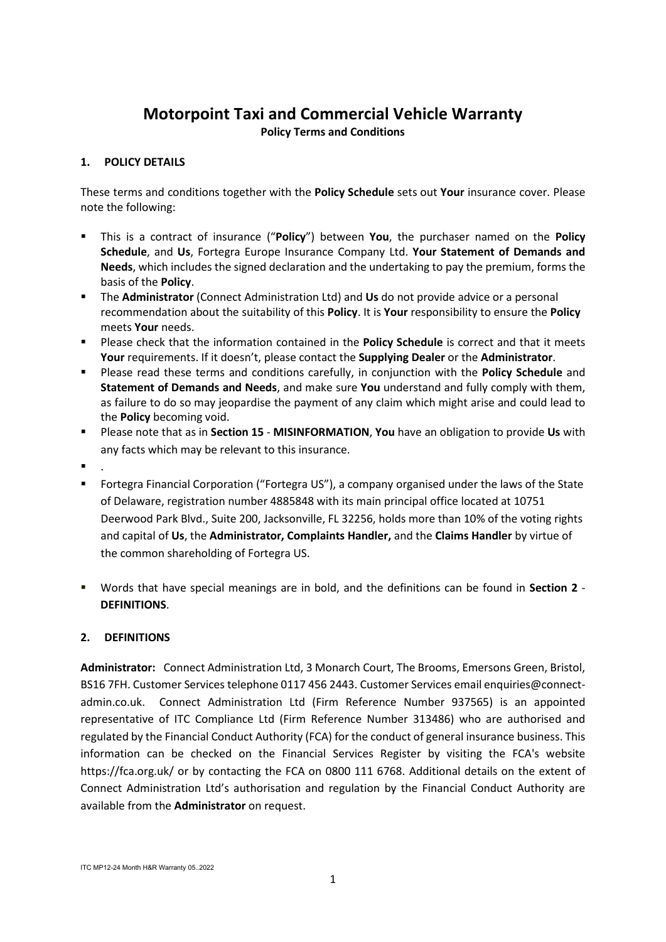# **Motorpoint Taxi and Commercial Vehicle Warranty**

**Policy Terms and Conditions**

# **1. POLICY DETAILS**

These terms and conditions together with the **Policy Schedule** sets out **Your** insurance cover. Please note the following:

- This is a contract of insurance ("**Policy**") between **You**, the purchaser named on the **Policy Schedule**, and **Us**, Fortegra Europe Insurance Company Ltd. **Your Statement of Demands and Needs**, which includes the signed declaration and the undertaking to pay the premium, forms the basis of the **Policy**.
- The **Administrator** (Connect Administration Ltd) and **Us** do not provide advice or a personal recommendation about the suitability of this **Policy**. It is **Your** responsibility to ensure the **Policy** meets **Your** needs.
- Please check that the information contained in the **Policy Schedule** is correct and that it meets **Your** requirements. If it doesn't, please contact the **Supplying Dealer** or the **Administrator**.
- Please read these terms and conditions carefully, in conjunction with the **Policy Schedule** and **Statement of Demands and Needs**, and make sure **You** understand and fully comply with them, as failure to do so may jeopardise the payment of any claim which might arise and could lead to the **Policy** becoming void.
- Please note that as in **Section 15 MISINFORMATION**, **You** have an obligation to provide **Us** with any facts which may be relevant to this insurance.
- .
- Fortegra Financial Corporation ("Fortegra US"), a company organised under the laws of the State of Delaware, registration number 4885848 with its main principal office located at 10751 Deerwood Park Blvd., Suite 200, Jacksonville, FL 32256, holds more than 10% of the voting rights and capital of **Us**, the **Administrator, Complaints Handler,** and the **Claims Handler** by virtue of the common shareholding of Fortegra US.
- Words that have special meanings are in bold, and the definitions can be found in **Section 2 DEFINITIONS**.

# **2. DEFINITIONS**

**Administrator:** Connect Administration Ltd, 3 Monarch Court, The Brooms, Emersons Green, Bristol, BS16 7FH. Customer Services telephone 0117 456 2443. Customer Services email enquiries@connectadmin.co.uk. Connect Administration Ltd (Firm Reference Number 937565) is an appointed representative of ITC Compliance Ltd (Firm Reference Number 313486) who are authorised and regulated by the Financial Conduct Authority (FCA) for the conduct of general insurance business. This information can be checked on the Financial Services Register by visiting the FCA's website https://fca.org.uk/ or by contacting the FCA on 0800 111 6768. Additional details on the extent of Connect Administration Ltd's authorisation and regulation by the Financial Conduct Authority are available from the **Administrator** on request.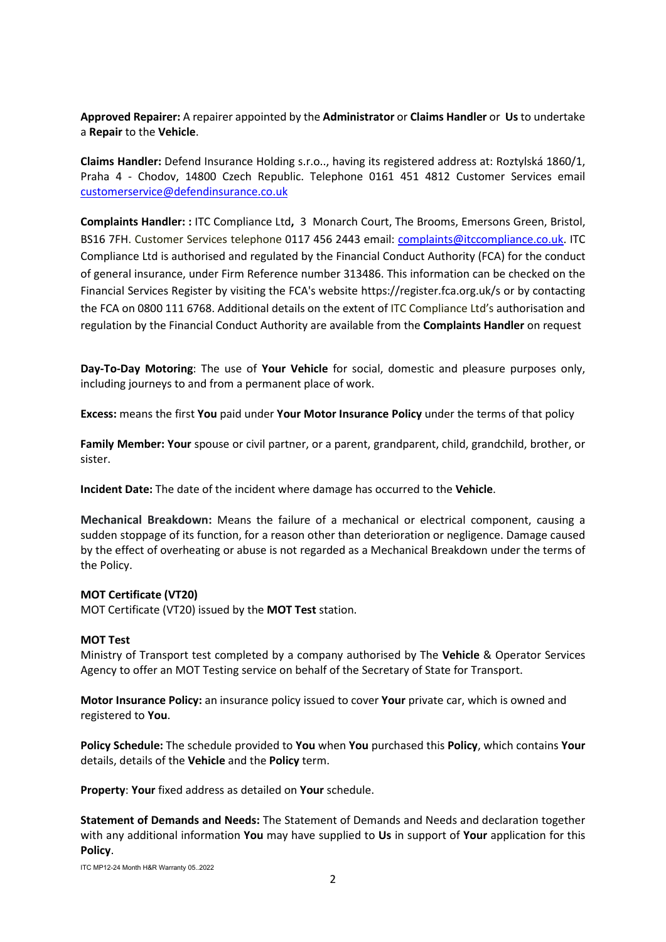**Approved Repairer:** A repairer appointed by the **Administrator** or **Claims Handler** or **Us**to undertake a **Repair** to the **Vehicle**.

**Claims Handler:** Defend Insurance Holding s.r.o.., having its registered address at: Roztylská 1860/1, Praha 4 - Chodov, 14800 Czech Republic. Telephone 0161 451 4812 Customer Services email [customerservice@defendinsurance.co.uk](mailto:customerservice@defendinsurance.co.uk)

**Complaints Handler: :** ITC Compliance Ltd**,** 3 Monarch Court, The Brooms, Emersons Green, Bristol, BS16 7FH. Customer Services telephone 0117 456 2443 email: [complaints@itccompliance.co.uk.](mailto:complaints@itccompliance.co.uk) ITC Compliance Ltd is authorised and regulated by the Financial Conduct Authority (FCA) for the conduct of general insurance, under Firm Reference number 313486. This information can be checked on the Financial Services Register by visiting the FCA's website https://register.fca.org.uk/s or by contacting the FCA on 0800 111 6768. Additional details on the extent of ITC Compliance Ltd's authorisation and regulation by the Financial Conduct Authority are available from the **Complaints Handler** on request

**Day-To-Day Motoring**: The use of **Your Vehicle** for social, domestic and pleasure purposes only, including journeys to and from a permanent place of work.

**Excess:** means the first **You** paid under **Your Motor Insurance Policy** under the terms of that policy

**Family Member: Your** spouse or civil partner, or a parent, grandparent, child, grandchild, brother, or sister.

**Incident Date:** The date of the incident where damage has occurred to the **Vehicle**.

**Mechanical Breakdown:** Means the failure of a mechanical or electrical component, causing a sudden stoppage of its function, for a reason other than deterioration or negligence. Damage caused by the effect of overheating or abuse is not regarded as a Mechanical Breakdown under the terms of the Policy.

### **MOT Certificate (VT20)**

MOT Certificate (VT20) issued by the **MOT Test** station.

### **MOT Test**

Ministry of Transport test completed by a company authorised by The **Vehicle** & Operator Services Agency to offer an MOT Testing service on behalf of the Secretary of State for Transport.

**Motor Insurance Policy:** an insurance policy issued to cover **Your** private car, which is owned and registered to **You**.

**Policy Schedule:** The schedule provided to **You** when **You** purchased this **Policy**, which contains **Your** details, details of the **Vehicle** and the **Policy** term.

**Property**: **Your** fixed address as detailed on **Your** schedule.

**Statement of Demands and Needs:** The Statement of Demands and Needs and declaration together with any additional information **You** may have supplied to **Us** in support of **Your** application for this **Policy**.

ITC MP12-24 Month H&R Warranty 05..2022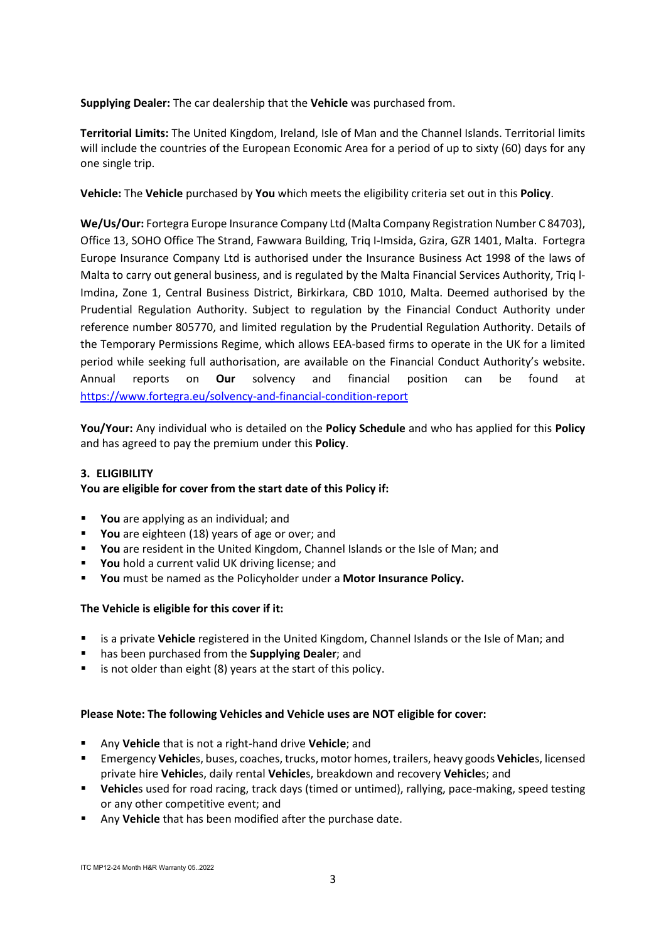**Supplying Dealer:** The car dealership that the **Vehicle** was purchased from.

**Territorial Limits:** The United Kingdom, Ireland, Isle of Man and the Channel Islands. Territorial limits will include the countries of the European Economic Area for a period of up to sixty (60) days for any one single trip.

**Vehicle:** The **Vehicle** purchased by **You** which meets the eligibility criteria set out in this **Policy**.

**We/Us/Our:** Fortegra Europe Insurance Company Ltd (Malta Company Registration Number C 84703), Office 13, SOHO Office The Strand, Fawwara Building, Triq I-Imsida, Gzira, GZR 1401, Malta. Fortegra Europe Insurance Company Ltd is authorised under the Insurance Business Act 1998 of the laws of Malta to carry out general business, and is regulated by the Malta Financial Services Authority, Triq l-Imdina, Zone 1, Central Business District, Birkirkara, CBD 1010, Malta. Deemed authorised by the Prudential Regulation Authority. Subject to regulation by the Financial Conduct Authority under reference number 805770, and limited regulation by the Prudential Regulation Authority. Details of the Temporary Permissions Regime, which allows EEA-based firms to operate in the UK for a limited period while seeking full authorisation, are available on the Financial Conduct Authority's website. Annual reports on **Our** solvency and financial position can be found at <https://www.fortegra.eu/solvency-and-financial-condition-report>

**You/Your:** Any individual who is detailed on the **Policy Schedule** and who has applied for this **Policy** and has agreed to pay the premium under this **Policy**.

### **3. ELIGIBILITY**

# **You are eligible for cover from the start date of this Policy if:**

- **You** are applying as an individual; and
- **You** are eighteen (18) years of age or over; and
- **You** are resident in the United Kingdom, Channel Islands or the Isle of Man; and
- **You** hold a current valid UK driving license; and
- **You** must be named as the Policyholder under a **Motor Insurance Policy.**

### **The Vehicle is eligible for this cover if it:**

- is a private **Vehicle** registered in the United Kingdom, Channel Islands or the Isle of Man; and
- has been purchased from the **Supplying Dealer**; and
- **E** is not older than eight (8) years at the start of this policy.

### **Please Note: The following Vehicles and Vehicle uses are NOT eligible for cover:**

- Any **Vehicle** that is not a right-hand drive **Vehicle**; and
- Emergency **Vehicle**s, buses, coaches, trucks, motor homes, trailers, heavy goods **Vehicle**s, licensed private hire **Vehicle**s, daily rental **Vehicle**s, breakdown and recovery **Vehicle**s; and
- **Vehicle**s used for road racing, track days (timed or untimed), rallying, pace-making, speed testing or any other competitive event; and
- Any **Vehicle** that has been modified after the purchase date.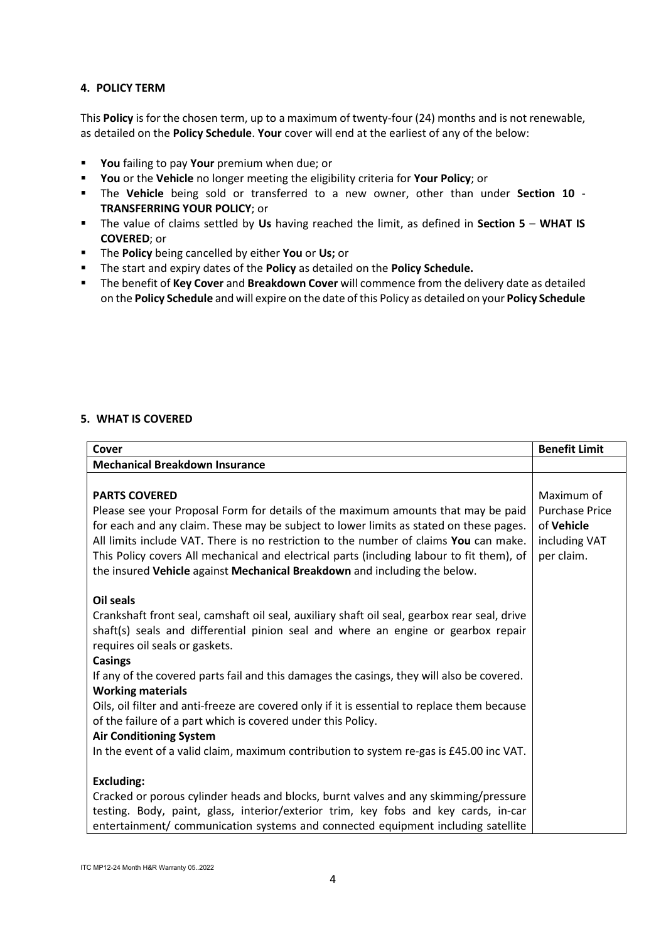### **4. POLICY TERM**

This **Policy** is for the chosen term, up to a maximum of twenty-four (24) months and is not renewable, as detailed on the **Policy Schedule**. **Your** cover will end at the earliest of any of the below:

- **You** failing to pay **Your** premium when due; or
- **You** or the **Vehicle** no longer meeting the eligibility criteria for **Your Policy**; or
- The **Vehicle** being sold or transferred to a new owner, other than under **Section 10 TRANSFERRING YOUR POLICY**; or
- The value of claims settled by **Us** having reached the limit, as defined in **Section 5 WHAT IS COVERED**; or
- The **Policy** being cancelled by either **You** or **Us;** or
- The start and expiry dates of the **Policy** as detailed on the **Policy Schedule.**
- The benefit of **Key Cover** and **Breakdown Cover** will commence from the delivery date as detailed on the **Policy Schedule** and will expire on the date of this Policy as detailed on your **Policy Schedule**

#### **5. WHAT IS COVERED**

| Cover                                                                                                                                                                                                                                                                                                                                                                                                                                                                  | <b>Benefit Limit</b>                                                             |
|------------------------------------------------------------------------------------------------------------------------------------------------------------------------------------------------------------------------------------------------------------------------------------------------------------------------------------------------------------------------------------------------------------------------------------------------------------------------|----------------------------------------------------------------------------------|
| <b>Mechanical Breakdown Insurance</b>                                                                                                                                                                                                                                                                                                                                                                                                                                  |                                                                                  |
| <b>PARTS COVERED</b><br>Please see your Proposal Form for details of the maximum amounts that may be paid<br>for each and any claim. These may be subject to lower limits as stated on these pages.<br>All limits include VAT. There is no restriction to the number of claims You can make.<br>This Policy covers All mechanical and electrical parts (including labour to fit them), of<br>the insured Vehicle against Mechanical Breakdown and including the below. | Maximum of<br><b>Purchase Price</b><br>of Vehicle<br>including VAT<br>per claim. |
| <b>Oil seals</b><br>Crankshaft front seal, camshaft oil seal, auxiliary shaft oil seal, gearbox rear seal, drive<br>shaft(s) seals and differential pinion seal and where an engine or gearbox repair<br>requires oil seals or gaskets.<br><b>Casings</b>                                                                                                                                                                                                              |                                                                                  |
| If any of the covered parts fail and this damages the casings, they will also be covered.<br><b>Working materials</b>                                                                                                                                                                                                                                                                                                                                                  |                                                                                  |
| Oils, oil filter and anti-freeze are covered only if it is essential to replace them because<br>of the failure of a part which is covered under this Policy.                                                                                                                                                                                                                                                                                                           |                                                                                  |
| <b>Air Conditioning System</b><br>In the event of a valid claim, maximum contribution to system re-gas is £45.00 inc VAT.                                                                                                                                                                                                                                                                                                                                              |                                                                                  |
| <b>Excluding:</b><br>Cracked or porous cylinder heads and blocks, burnt valves and any skimming/pressure<br>testing. Body, paint, glass, interior/exterior trim, key fobs and key cards, in-car                                                                                                                                                                                                                                                                        |                                                                                  |
| entertainment/ communication systems and connected equipment including satellite                                                                                                                                                                                                                                                                                                                                                                                       |                                                                                  |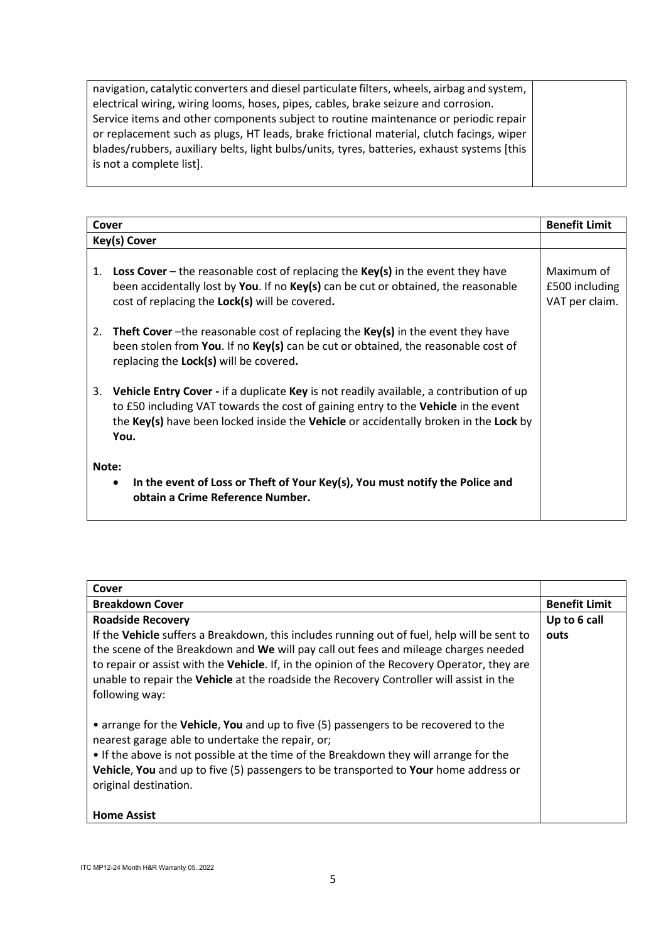| navigation, catalytic converters and diesel particulate filters, wheels, airbag and system, |  |
|---------------------------------------------------------------------------------------------|--|
| electrical wiring, wiring looms, hoses, pipes, cables, brake seizure and corrosion.         |  |
| Service items and other components subject to routine maintenance or periodic repair        |  |
| or replacement such as plugs, HT leads, brake frictional material, clutch facings, wiper    |  |
| blades/rubbers, auxiliary belts, light bulbs/units, tyres, batteries, exhaust systems [this |  |
| is not a complete list].                                                                    |  |
|                                                                                             |  |

| Cover                                                                                                                                  |                                                                                                                                                                                                                                                                               | <b>Benefit Limit</b>                           |
|----------------------------------------------------------------------------------------------------------------------------------------|-------------------------------------------------------------------------------------------------------------------------------------------------------------------------------------------------------------------------------------------------------------------------------|------------------------------------------------|
| Key(s) Cover                                                                                                                           |                                                                                                                                                                                                                                                                               |                                                |
| 1.                                                                                                                                     | Loss Cover – the reasonable cost of replacing the Key(s) in the event they have<br>been accidentally lost by You. If no Key(s) can be cut or obtained, the reasonable<br>cost of replacing the <b>Lock(s)</b> will be covered.                                                | Maximum of<br>£500 including<br>VAT per claim. |
| 2.                                                                                                                                     | <b>Theft Cover</b> -the reasonable cost of replacing the $Key(s)$ in the event they have<br>been stolen from You. If no Key(s) can be cut or obtained, the reasonable cost of<br>replacing the Lock(s) will be covered.                                                       |                                                |
| 3.                                                                                                                                     | Vehicle Entry Cover - if a duplicate Key is not readily available, a contribution of up<br>to £50 including VAT towards the cost of gaining entry to the Vehicle in the event<br>the Key(s) have been locked inside the Vehicle or accidentally broken in the Lock by<br>You. |                                                |
| Note:<br>In the event of Loss or Theft of Your Key(s), You must notify the Police and<br>$\bullet$<br>obtain a Crime Reference Number. |                                                                                                                                                                                                                                                                               |                                                |

| Cover                                                                                                                                                                                                                                                                                                                                                                                          |                      |
|------------------------------------------------------------------------------------------------------------------------------------------------------------------------------------------------------------------------------------------------------------------------------------------------------------------------------------------------------------------------------------------------|----------------------|
| <b>Breakdown Cover</b>                                                                                                                                                                                                                                                                                                                                                                         | <b>Benefit Limit</b> |
| <b>Roadside Recovery</b>                                                                                                                                                                                                                                                                                                                                                                       | Up to 6 call         |
| If the Vehicle suffers a Breakdown, this includes running out of fuel, help will be sent to<br>the scene of the Breakdown and We will pay call out fees and mileage charges needed<br>to repair or assist with the Vehicle. If, in the opinion of the Recovery Operator, they are<br>unable to repair the Vehicle at the roadside the Recovery Controller will assist in the<br>following way: | outs                 |
| • arrange for the Vehicle, You and up to five (5) passengers to be recovered to the<br>nearest garage able to undertake the repair, or;<br>• If the above is not possible at the time of the Breakdown they will arrange for the<br>Vehicle, You and up to five (5) passengers to be transported to Your home address or<br>original destination.                                              |                      |
| <b>Home Assist</b>                                                                                                                                                                                                                                                                                                                                                                             |                      |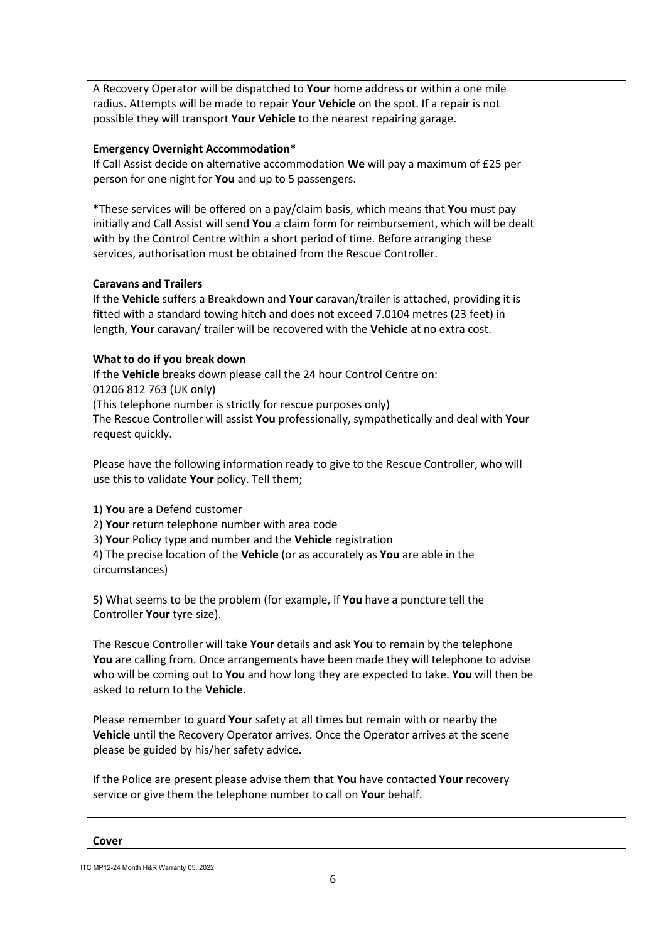A Recovery Operator will be dispatched to **Your** home address or within a one mile radius. Attempts will be made to repair **Your Vehicle** on the spot. If a repair is not possible they will transport **Your Vehicle** to the nearest repairing garage.

### **Emergency Overnight Accommodation\***

If Call Assist decide on alternative accommodation **We** will pay a maximum of £25 per person for one night for **You** and up to 5 passengers.

\*These services will be offered on a pay/claim basis, which means that **You** must pay initially and Call Assist will send **You** a claim form for reimbursement, which will be dealt with by the Control Centre within a short period of time. Before arranging these services, authorisation must be obtained from the Rescue Controller.

### **Caravans and Trailers**

If the **Vehicle** suffers a Breakdown and **Your** caravan/trailer is attached, providing it is fitted with a standard towing hitch and does not exceed 7.0104 metres (23 feet) in length, **Your** caravan/ trailer will be recovered with the **Vehicle** at no extra cost.

# **What to do if you break down**

If the **Vehicle** breaks down please call the 24 hour Control Centre on: 01206 812 763 (UK only) (This telephone number is strictly for rescue purposes only) The Rescue Controller will assist **You** professionally, sympathetically and deal with **Your** request quickly.

Please have the following information ready to give to the Rescue Controller, who will use this to validate **Your** policy. Tell them;

1) **You** are a Defend customer

2) **Your** return telephone number with area code

3) **Your** Policy type and number and the **Vehicle** registration

4) The precise location of the **Vehicle** (or as accurately as **You** are able in the circumstances)

5) What seems to be the problem (for example, if **You** have a puncture tell the Controller **Your** tyre size).

The Rescue Controller will take **Your** details and ask **You** to remain by the telephone **You** are calling from. Once arrangements have been made they will telephone to advise who will be coming out to **You** and how long they are expected to take. **You** will then be asked to return to the **Vehicle**.

Please remember to guard **Your** safety at all times but remain with or nearby the **Vehicle** until the Recovery Operator arrives. Once the Operator arrives at the scene please be guided by his/her safety advice.

If the Police are present please advise them that **You** have contacted **Your** recovery service or give them the telephone number to call on **Your** behalf.

**Cover**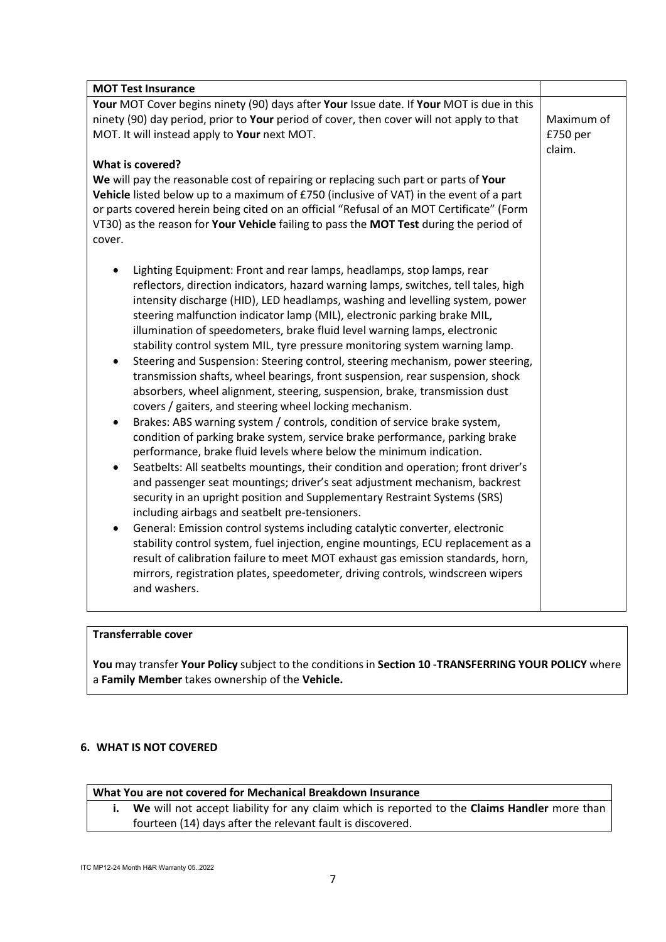| <b>MOT Test Insurance</b>                                                                                                                                                                                                                                                                                                                                                                                                                                                                                                                                                                                                                                                                                                                                                                                                                                                                                                                                                                                                                                                                                                                                                                                                                                                                                                                                                                                                                                                                                                                                                                                                                                                                                                         |                                  |
|-----------------------------------------------------------------------------------------------------------------------------------------------------------------------------------------------------------------------------------------------------------------------------------------------------------------------------------------------------------------------------------------------------------------------------------------------------------------------------------------------------------------------------------------------------------------------------------------------------------------------------------------------------------------------------------------------------------------------------------------------------------------------------------------------------------------------------------------------------------------------------------------------------------------------------------------------------------------------------------------------------------------------------------------------------------------------------------------------------------------------------------------------------------------------------------------------------------------------------------------------------------------------------------------------------------------------------------------------------------------------------------------------------------------------------------------------------------------------------------------------------------------------------------------------------------------------------------------------------------------------------------------------------------------------------------------------------------------------------------|----------------------------------|
| Your MOT Cover begins ninety (90) days after Your Issue date. If Your MOT is due in this<br>ninety (90) day period, prior to Your period of cover, then cover will not apply to that<br>MOT. It will instead apply to Your next MOT.                                                                                                                                                                                                                                                                                                                                                                                                                                                                                                                                                                                                                                                                                                                                                                                                                                                                                                                                                                                                                                                                                                                                                                                                                                                                                                                                                                                                                                                                                              | Maximum of<br>£750 per<br>claim. |
| What is covered?<br>We will pay the reasonable cost of repairing or replacing such part or parts of Your<br>Vehicle listed below up to a maximum of £750 (inclusive of VAT) in the event of a part<br>or parts covered herein being cited on an official "Refusal of an MOT Certificate" (Form<br>VT30) as the reason for Your Vehicle failing to pass the MOT Test during the period of<br>cover.                                                                                                                                                                                                                                                                                                                                                                                                                                                                                                                                                                                                                                                                                                                                                                                                                                                                                                                                                                                                                                                                                                                                                                                                                                                                                                                                |                                  |
| Lighting Equipment: Front and rear lamps, headlamps, stop lamps, rear<br>reflectors, direction indicators, hazard warning lamps, switches, tell tales, high<br>intensity discharge (HID), LED headlamps, washing and levelling system, power<br>steering malfunction indicator lamp (MIL), electronic parking brake MIL,<br>illumination of speedometers, brake fluid level warning lamps, electronic<br>stability control system MIL, tyre pressure monitoring system warning lamp.<br>Steering and Suspension: Steering control, steering mechanism, power steering,<br>$\bullet$<br>transmission shafts, wheel bearings, front suspension, rear suspension, shock<br>absorbers, wheel alignment, steering, suspension, brake, transmission dust<br>covers / gaiters, and steering wheel locking mechanism.<br>Brakes: ABS warning system / controls, condition of service brake system,<br>٠<br>condition of parking brake system, service brake performance, parking brake<br>performance, brake fluid levels where below the minimum indication.<br>Seatbelts: All seatbelts mountings, their condition and operation; front driver's<br>٠<br>and passenger seat mountings; driver's seat adjustment mechanism, backrest<br>security in an upright position and Supplementary Restraint Systems (SRS)<br>including airbags and seatbelt pre-tensioners.<br>General: Emission control systems including catalytic converter, electronic<br>$\bullet$<br>stability control system, fuel injection, engine mountings, ECU replacement as a<br>result of calibration failure to meet MOT exhaust gas emission standards, horn,<br>mirrors, registration plates, speedometer, driving controls, windscreen wipers<br>and washers. |                                  |

# **Transferrable cover**

**You** may transfer **Your Policy** subject to the conditions in **Section 10** -**TRANSFERRING YOUR POLICY** where a **Family Member** takes ownership of the **Vehicle.**

### **6. WHAT IS NOT COVERED**

### **What You are not covered for Mechanical Breakdown Insurance**

**i. We** will not accept liability for any claim which is reported to the **Claims Handler** more than fourteen (14) days after the relevant fault is discovered.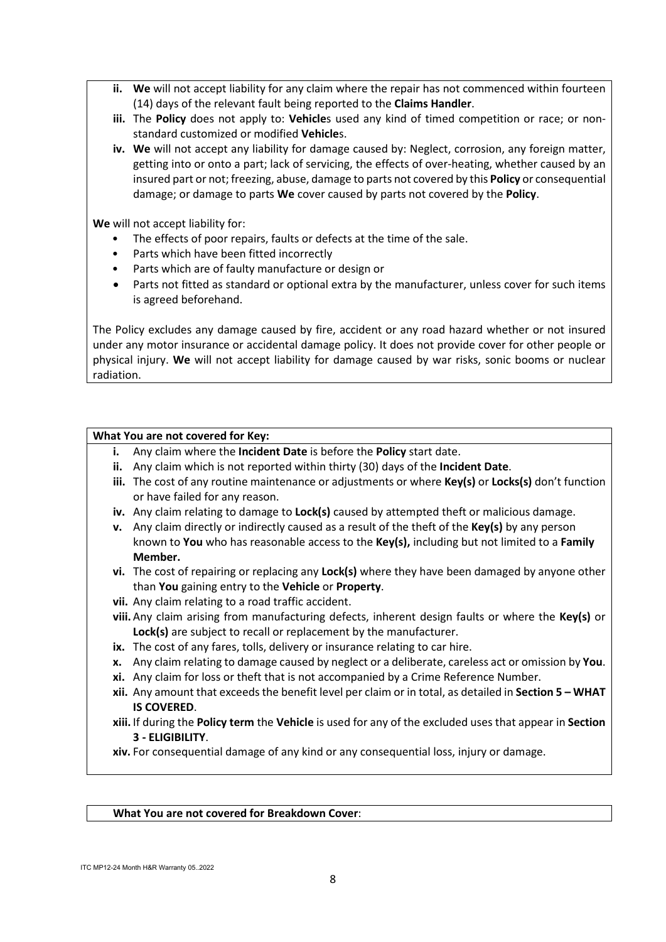- **ii. We** will not accept liability for any claim where the repair has not commenced within fourteen (14) days of the relevant fault being reported to the **Claims Handler**.
- **iii.** The **Policy** does not apply to: **Vehicle**s used any kind of timed competition or race; or nonstandard customized or modified **Vehicle**s.
- **iv. We** will not accept any liability for damage caused by: Neglect, corrosion, any foreign matter, getting into or onto a part; lack of servicing, the effects of over-heating, whether caused by an insured part or not; freezing, abuse, damage to parts not covered by this **Policy** or consequential damage; or damage to parts **We** cover caused by parts not covered by the **Policy**.

**We** will not accept liability for:

- The effects of poor repairs, faults or defects at the time of the sale.
- Parts which have been fitted incorrectly
- Parts which are of faulty manufacture or design or
- Parts not fitted as standard or optional extra by the manufacturer, unless cover for such items is agreed beforehand.

The Policy excludes any damage caused by fire, accident or any road hazard whether or not insured under any motor insurance or accidental damage policy. It does not provide cover for other people or physical injury. **We** will not accept liability for damage caused by war risks, sonic booms or nuclear radiation.

#### **What You are not covered for Key:**

- **i.** Any claim where the **Incident Date** is before the **Policy** start date.
- **ii.** Any claim which is not reported within thirty (30) days of the **Incident Date**.
- **iii.** The cost of any routine maintenance or adjustments or where **Key(s)** or **Locks(s)** don't function or have failed for any reason.
- **iv.** Any claim relating to damage to **Lock(s)** caused by attempted theft or malicious damage.
- **v.** Any claim directly or indirectly caused as a result of the theft of the **Key(s)** by any person known to **You** who has reasonable access to the **Key(s),** including but not limited to a **Family Member.**
- **vi.** The cost of repairing or replacing any **Lock(s)** where they have been damaged by anyone other than **You** gaining entry to the **Vehicle** or **Property**.
- **vii.** Any claim relating to a road traffic accident.
- **viii.** Any claim arising from manufacturing defects, inherent design faults or where the **Key(s)** or **Lock(s)** are subject to recall or replacement by the manufacturer.
- **ix.** The cost of any fares, tolls, delivery or insurance relating to car hire.
- **x.** Any claim relating to damage caused by neglect or a deliberate, careless act or omission by **You**.
- **xi.** Any claim for loss or theft that is not accompanied by a Crime Reference Number.
- **xii.** Any amount that exceeds the benefit level per claim or in total, as detailed in **Section 5 – WHAT IS COVERED**.
- **xiii.** If during the **Policy term** the **Vehicle** is used for any of the excluded uses that appear in **Section 3 - ELIGIBILITY**.
- **xiv.** For consequential damage of any kind or any consequential loss, injury or damage.

#### **What You are not covered for Breakdown Cover**: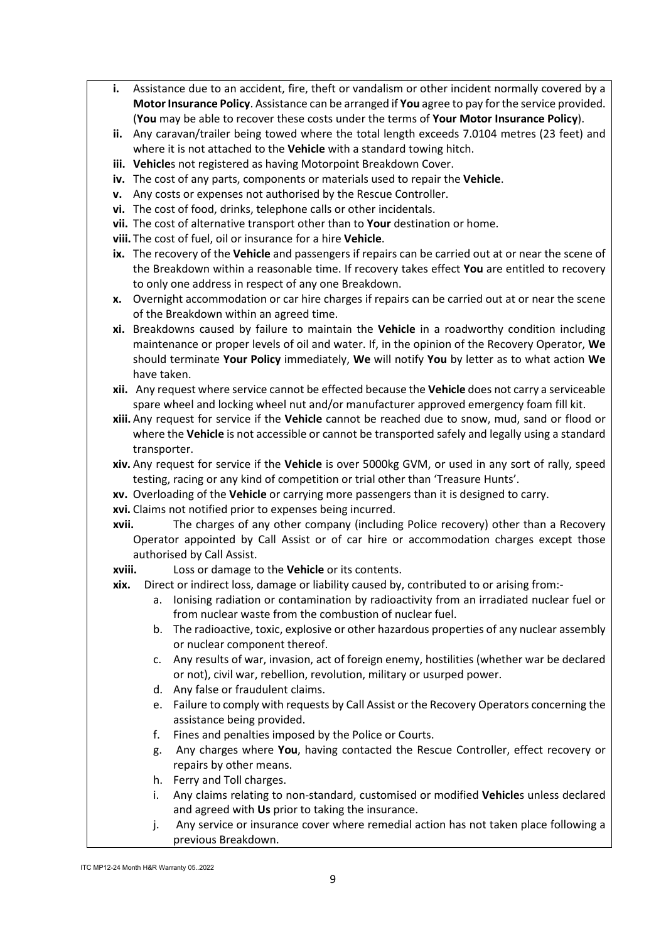- **i.** Assistance due to an accident, fire, theft or vandalism or other incident normally covered by a **Motor Insurance Policy**. Assistance can be arranged if **You** agree to pay for the service provided. (**You** may be able to recover these costs under the terms of **Your Motor Insurance Policy**).
- **ii.** Any caravan/trailer being towed where the total length exceeds 7.0104 metres (23 feet) and where it is not attached to the **Vehicle** with a standard towing hitch.
- **iii. Vehicle**s not registered as having Motorpoint Breakdown Cover.
- **iv.** The cost of any parts, components or materials used to repair the **Vehicle**.
- **v.** Any costs or expenses not authorised by the Rescue Controller.
- **vi.** The cost of food, drinks, telephone calls or other incidentals.
- **vii.** The cost of alternative transport other than to **Your** destination or home.
- **viii.** The cost of fuel, oil or insurance for a hire **Vehicle**.
- **ix.** The recovery of the **Vehicle** and passengers if repairs can be carried out at or near the scene of the Breakdown within a reasonable time. If recovery takes effect **You** are entitled to recovery to only one address in respect of any one Breakdown.
- **x.** Overnight accommodation or car hire charges if repairs can be carried out at or near the scene of the Breakdown within an agreed time.
- **xi.** Breakdowns caused by failure to maintain the **Vehicle** in a roadworthy condition including maintenance or proper levels of oil and water. If, in the opinion of the Recovery Operator, **We** should terminate **Your Policy** immediately, **We** will notify **You** by letter as to what action **We** have taken.
- **xii.** Any request where service cannot be effected because the **Vehicle** does not carry a serviceable spare wheel and locking wheel nut and/or manufacturer approved emergency foam fill kit.
- **xiii.** Any request for service if the **Vehicle** cannot be reached due to snow, mud, sand or flood or where the **Vehicle** is not accessible or cannot be transported safely and legally using a standard transporter.
- **xiv.** Any request for service if the **Vehicle** is over 5000kg GVM, or used in any sort of rally, speed testing, racing or any kind of competition or trial other than 'Treasure Hunts'.
- **xv.** Overloading of the **Vehicle** or carrying more passengers than it is designed to carry.
- **xvi.** Claims not notified prior to expenses being incurred.
- **xvii.** The charges of any other company (including Police recovery) other than a Recovery Operator appointed by Call Assist or of car hire or accommodation charges except those authorised by Call Assist.
- **xviii.** Loss or damage to the **Vehicle** or its contents.
- **xix.** Direct or indirect loss, damage or liability caused by, contributed to or arising from:
	- a. Ionising radiation or contamination by radioactivity from an irradiated nuclear fuel or from nuclear waste from the combustion of nuclear fuel.
	- b. The radioactive, toxic, explosive or other hazardous properties of any nuclear assembly or nuclear component thereof.
	- c. Any results of war, invasion, act of foreign enemy, hostilities (whether war be declared or not), civil war, rebellion, revolution, military or usurped power.
	- d. Any false or fraudulent claims.
	- e. Failure to comply with requests by Call Assist or the Recovery Operators concerning the assistance being provided.
	- f. Fines and penalties imposed by the Police or Courts.
	- g. Any charges where **You**, having contacted the Rescue Controller, effect recovery or repairs by other means.
	- h. Ferry and Toll charges.
	- i. Any claims relating to non-standard, customised or modified **Vehicle**s unless declared and agreed with **Us** prior to taking the insurance.
	- j. Any service or insurance cover where remedial action has not taken place following a previous Breakdown.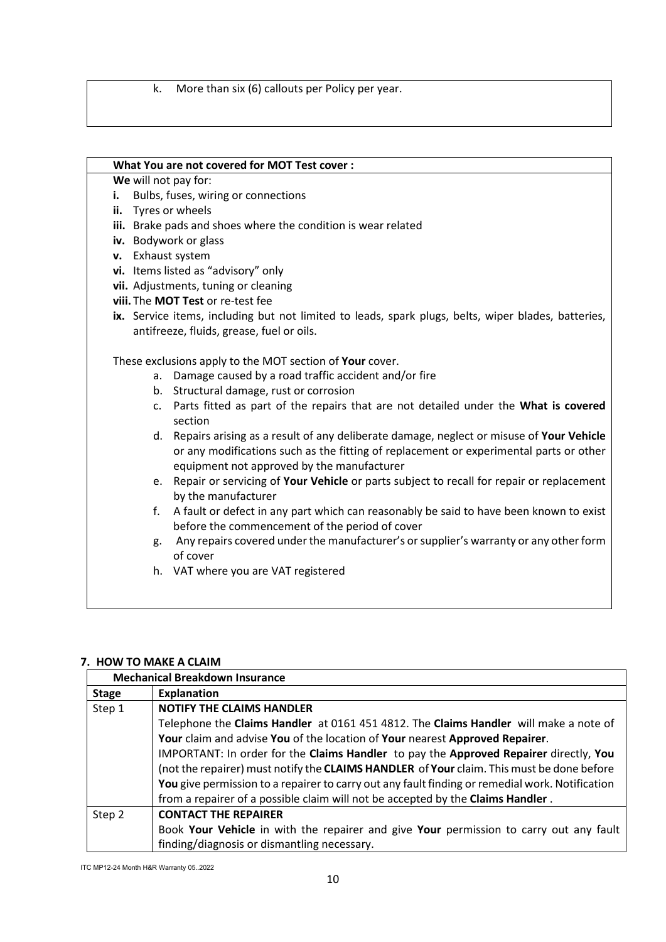k. More than six (6) callouts per Policy per year.

### **We** will not pay for:

- **i.** Bulbs, fuses, wiring or connections
- **ii.** Tyres or wheels
- **iii.** Brake pads and shoes where the condition is wear related
- **iv.** Bodywork or glass
- **v.** Exhaust system
- **vi.** Items listed as "advisory" only
- **vii.** Adjustments, tuning or cleaning
- **viii.** The **MOT Test** or re-test fee
- **ix.** Service items, including but not limited to leads, spark plugs, belts, wiper blades, batteries, antifreeze, fluids, grease, fuel or oils.

These exclusions apply to the MOT section of **Your** cover.

- a. Damage caused by a road traffic accident and/or fire
- b. Structural damage, rust or corrosion
- c. Parts fitted as part of the repairs that are not detailed under the **What is covered** section
- d. Repairs arising as a result of any deliberate damage, neglect or misuse of **Your Vehicle** or any modifications such as the fitting of replacement or experimental parts or other equipment not approved by the manufacturer
- e. Repair or servicing of **Your Vehicle** or parts subject to recall for repair or replacement by the manufacturer
- f. A fault or defect in any part which can reasonably be said to have been known to exist before the commencement of the period of cover
- g. Any repairs covered under the manufacturer's or supplier's warranty or any other form of cover
- h. VAT where you are VAT registered

### **7. HOW TO MAKE A CLAIM**

| <b>Mechanical Breakdown Insurance</b> |                                                                                                 |
|---------------------------------------|-------------------------------------------------------------------------------------------------|
| <b>Stage</b>                          | <b>Explanation</b>                                                                              |
| Step 1                                | <b>NOTIFY THE CLAIMS HANDLER</b>                                                                |
|                                       | Telephone the Claims Handler at 0161 451 4812. The Claims Handler will make a note of           |
|                                       | Your claim and advise You of the location of Your nearest Approved Repairer.                    |
|                                       | IMPORTANT: In order for the Claims Handler to pay the Approved Repairer directly, You           |
|                                       | (not the repairer) must notify the CLAIMS HANDLER of Your claim. This must be done before       |
|                                       | You give permission to a repairer to carry out any fault finding or remedial work. Notification |
|                                       | from a repairer of a possible claim will not be accepted by the Claims Handler.                 |
| Step 2                                | <b>CONTACT THE REPAIRER</b>                                                                     |
|                                       | Book Your Vehicle in with the repairer and give Your permission to carry out any fault          |
|                                       | finding/diagnosis or dismantling necessary.                                                     |

ITC MP12-24 Month H&R Warranty 05..2022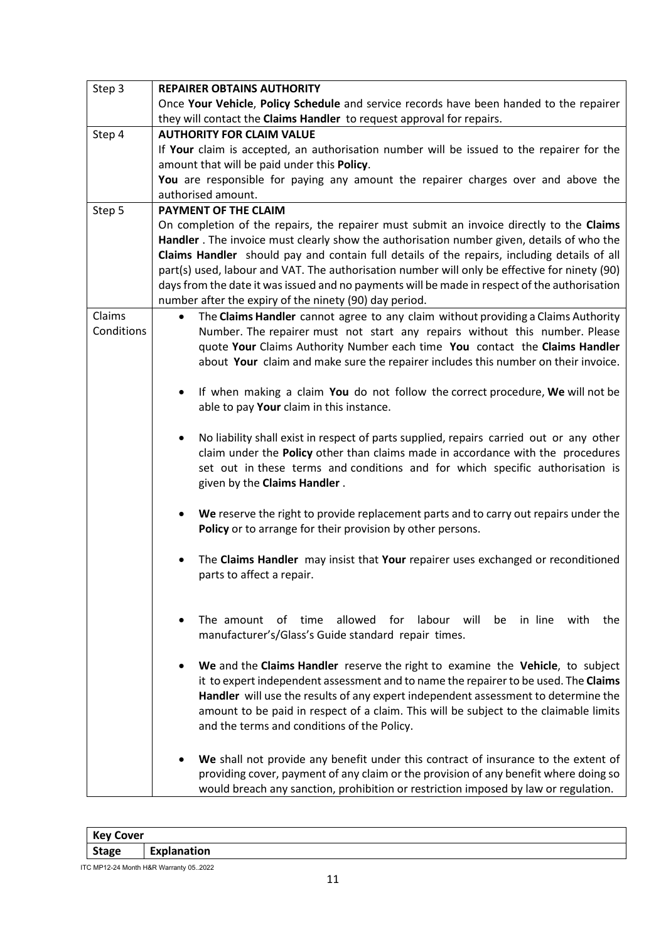| Step 3     | <b>REPAIRER OBTAINS AUTHORITY</b>                                                                    |
|------------|------------------------------------------------------------------------------------------------------|
|            | Once Your Vehicle, Policy Schedule and service records have been handed to the repairer              |
|            | they will contact the Claims Handler to request approval for repairs.                                |
| Step 4     | <b>AUTHORITY FOR CLAIM VALUE</b>                                                                     |
|            | If Your claim is accepted, an authorisation number will be issued to the repairer for the            |
|            | amount that will be paid under this Policy.                                                          |
|            | You are responsible for paying any amount the repairer charges over and above the                    |
|            | authorised amount.                                                                                   |
| Step 5     | <b>PAYMENT OF THE CLAIM</b>                                                                          |
|            | On completion of the repairs, the repairer must submit an invoice directly to the Claims             |
|            | Handler . The invoice must clearly show the authorisation number given, details of who the           |
|            | Claims Handler should pay and contain full details of the repairs, including details of all          |
|            | part(s) used, labour and VAT. The authorisation number will only be effective for ninety (90)        |
|            | days from the date it was issued and no payments will be made in respect of the authorisation        |
|            | number after the expiry of the ninety (90) day period.                                               |
| Claims     | The Claims Handler cannot agree to any claim without providing a Claims Authority<br>$\bullet$       |
| Conditions | Number. The repairer must not start any repairs without this number. Please                          |
|            | quote Your Claims Authority Number each time You contact the Claims Handler                          |
|            | about Your claim and make sure the repairer includes this number on their invoice.                   |
|            |                                                                                                      |
|            | If when making a claim You do not follow the correct procedure, We will not be<br>$\bullet$          |
|            | able to pay Your claim in this instance.                                                             |
|            |                                                                                                      |
|            | No liability shall exist in respect of parts supplied, repairs carried out or any other<br>$\bullet$ |
|            | claim under the Policy other than claims made in accordance with the procedures                      |
|            | set out in these terms and conditions and for which specific authorisation is                        |
|            | given by the Claims Handler.                                                                         |
|            |                                                                                                      |
|            | We reserve the right to provide replacement parts and to carry out repairs under the<br>$\bullet$    |
|            | Policy or to arrange for their provision by other persons.                                           |
|            |                                                                                                      |
|            | The Claims Handler may insist that Your repairer uses exchanged or reconditioned                     |
|            | parts to affect a repair.                                                                            |
|            |                                                                                                      |
|            |                                                                                                      |
|            | allowed<br>The amount of time<br>labour<br>in line<br>for<br>will<br>be<br>with<br>the               |
|            | manufacturer's/Glass's Guide standard repair times.                                                  |
|            |                                                                                                      |
|            | We and the Claims Handler reserve the right to examine the Vehicle, to subject                       |
|            | it to expert independent assessment and to name the repairer to be used. The Claims                  |
|            | Handler will use the results of any expert independent assessment to determine the                   |
|            | amount to be paid in respect of a claim. This will be subject to the claimable limits                |
|            | and the terms and conditions of the Policy.                                                          |
|            |                                                                                                      |
|            |                                                                                                      |
|            | We shall not provide any benefit under this contract of insurance to the extent of                   |
|            | providing cover, payment of any claim or the provision of any benefit where doing so                 |
|            | would breach any sanction, prohibition or restriction imposed by law or regulation.                  |

| <b>Key Cover</b> |                    |
|------------------|--------------------|
| Stage            | <b>Explanation</b> |
| .                |                    |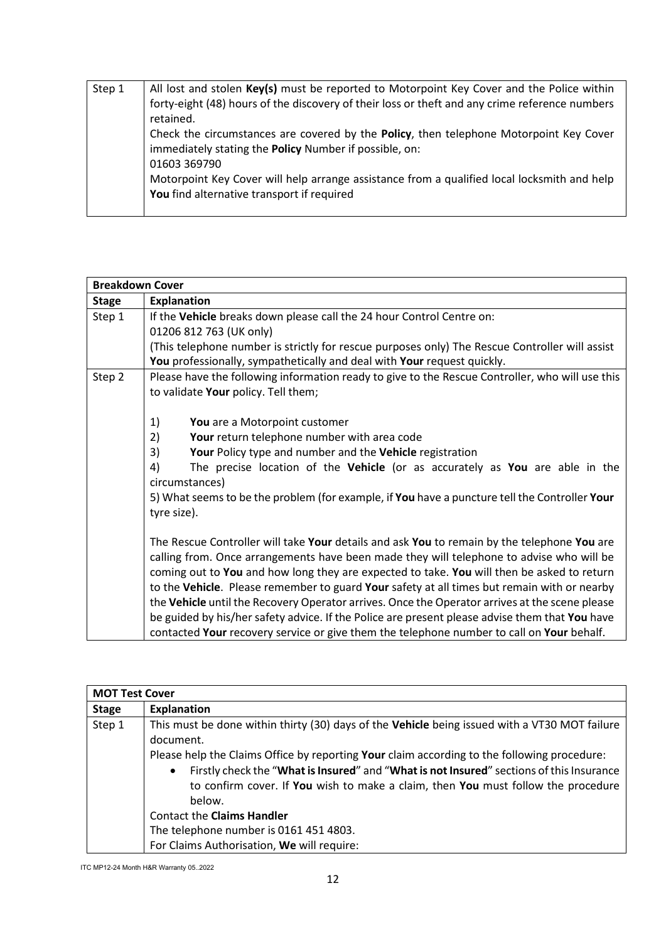| Step 1 | All lost and stolen Key(s) must be reported to Motorpoint Key Cover and the Police within      |
|--------|------------------------------------------------------------------------------------------------|
|        | forty-eight (48) hours of the discovery of their loss or theft and any crime reference numbers |
|        | retained.                                                                                      |
|        | Check the circumstances are covered by the Policy, then telephone Motorpoint Key Cover         |
|        | immediately stating the <b>Policy</b> Number if possible, on:                                  |
|        | 01603 369790                                                                                   |
|        | Motorpoint Key Cover will help arrange assistance from a qualified local locksmith and help    |
|        | You find alternative transport if required                                                     |
|        |                                                                                                |

| <b>Breakdown Cover</b> |                                                                                                                                                                                                                                                                                       |
|------------------------|---------------------------------------------------------------------------------------------------------------------------------------------------------------------------------------------------------------------------------------------------------------------------------------|
| <b>Stage</b>           | <b>Explanation</b>                                                                                                                                                                                                                                                                    |
| Step 1                 | If the Vehicle breaks down please call the 24 hour Control Centre on:<br>01206 812 763 (UK only)<br>(This telephone number is strictly for rescue purposes only) The Rescue Controller will assist<br>You professionally, sympathetically and deal with Your request quickly.         |
| Step 2                 | Please have the following information ready to give to the Rescue Controller, who will use this<br>to validate Your policy. Tell them;                                                                                                                                                |
|                        | 1)<br>You are a Motorpoint customer                                                                                                                                                                                                                                                   |
|                        | Your return telephone number with area code<br>2)                                                                                                                                                                                                                                     |
|                        | 3)<br>Your Policy type and number and the Vehicle registration                                                                                                                                                                                                                        |
|                        | 4)<br>The precise location of the Vehicle (or as accurately as You are able in the<br>circumstances)                                                                                                                                                                                  |
|                        | 5) What seems to be the problem (for example, if You have a puncture tell the Controller Your<br>tyre size).                                                                                                                                                                          |
|                        | The Rescue Controller will take Your details and ask You to remain by the telephone You are<br>calling from. Once arrangements have been made they will telephone to advise who will be<br>coming out to You and how long they are expected to take. You will then be asked to return |
|                        | to the Vehicle. Please remember to guard Your safety at all times but remain with or nearby                                                                                                                                                                                           |
|                        | the Vehicle until the Recovery Operator arrives. Once the Operator arrives at the scene please                                                                                                                                                                                        |
|                        | be guided by his/her safety advice. If the Police are present please advise them that You have                                                                                                                                                                                        |
|                        | contacted Your recovery service or give them the telephone number to call on Your behalf.                                                                                                                                                                                             |

| <b>MOT Test Cover</b> |                                                                                                            |
|-----------------------|------------------------------------------------------------------------------------------------------------|
| <b>Stage</b>          | <b>Explanation</b>                                                                                         |
| Step 1                | This must be done within thirty (30) days of the Vehicle being issued with a VT30 MOT failure<br>document. |
|                       | Please help the Claims Office by reporting Your claim according to the following procedure:                |
|                       | Firstly check the "What is Insured" and "What is not Insured" sections of this Insurance<br>$\bullet$      |
|                       | to confirm cover. If You wish to make a claim, then You must follow the procedure                          |
|                       | below.                                                                                                     |
|                       | <b>Contact the Claims Handler</b>                                                                          |
|                       | The telephone number is 0161 451 4803.                                                                     |
|                       | For Claims Authorisation, We will require:                                                                 |

ITC MP12-24 Month H&R Warranty 05..2022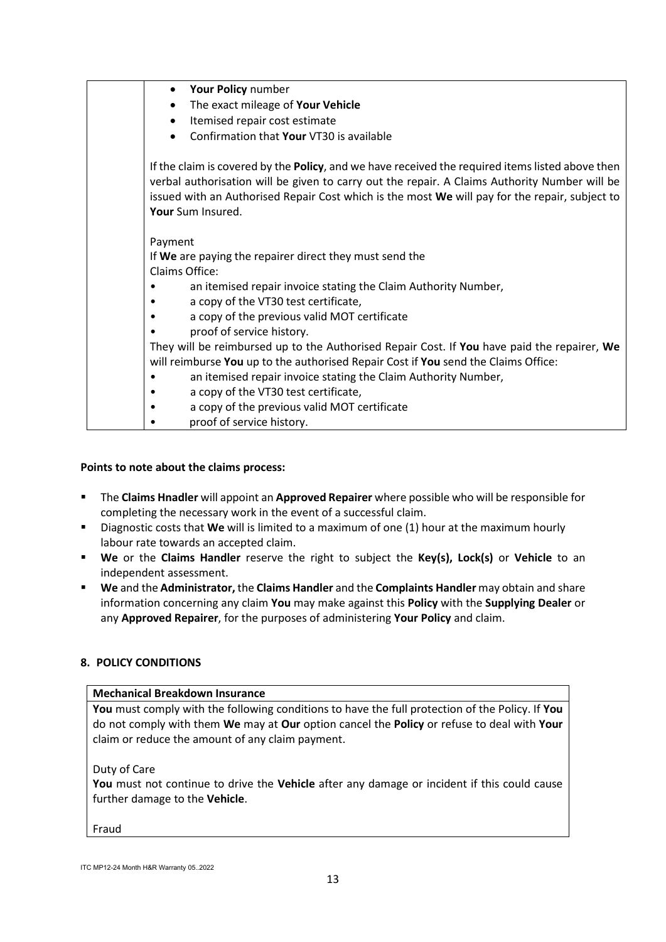| Your Policy number<br>$\bullet$                                                                                                                                                                                                                                                                                          |
|--------------------------------------------------------------------------------------------------------------------------------------------------------------------------------------------------------------------------------------------------------------------------------------------------------------------------|
| The exact mileage of Your Vehicle<br>$\bullet$                                                                                                                                                                                                                                                                           |
| Itemised repair cost estimate<br>$\bullet$                                                                                                                                                                                                                                                                               |
| Confirmation that Your VT30 is available                                                                                                                                                                                                                                                                                 |
| If the claim is covered by the Policy, and we have received the required items listed above then<br>verbal authorisation will be given to carry out the repair. A Claims Authority Number will be<br>issued with an Authorised Repair Cost which is the most We will pay for the repair, subject to<br>Your Sum Insured. |
| Payment                                                                                                                                                                                                                                                                                                                  |
| If We are paying the repairer direct they must send the                                                                                                                                                                                                                                                                  |
| Claims Office:                                                                                                                                                                                                                                                                                                           |
| an itemised repair invoice stating the Claim Authority Number,                                                                                                                                                                                                                                                           |
| a copy of the VT30 test certificate,                                                                                                                                                                                                                                                                                     |
| a copy of the previous valid MOT certificate                                                                                                                                                                                                                                                                             |
| proof of service history.                                                                                                                                                                                                                                                                                                |
| They will be reimbursed up to the Authorised Repair Cost. If You have paid the repairer, We                                                                                                                                                                                                                              |
| will reimburse You up to the authorised Repair Cost if You send the Claims Office:                                                                                                                                                                                                                                       |
| an itemised repair invoice stating the Claim Authority Number,                                                                                                                                                                                                                                                           |
| a copy of the VT30 test certificate,                                                                                                                                                                                                                                                                                     |
| a copy of the previous valid MOT certificate                                                                                                                                                                                                                                                                             |
| proof of service history.                                                                                                                                                                                                                                                                                                |

# **Points to note about the claims process:**

- The **Claims Hnadler** will appoint an **Approved Repairer** where possible who will be responsible for completing the necessary work in the event of a successful claim.
- Diagnostic costs that **We** will is limited to a maximum of one (1) hour at the maximum hourly labour rate towards an accepted claim.
- **We** or the **Claims Handler** reserve the right to subject the **Key(s), Lock(s)** or **Vehicle** to an independent assessment.
- **We** and the **Administrator,** the **Claims Handler** and the **Complaints Handler** may obtain and share information concerning any claim **You** may make against this **Policy** with the **Supplying Dealer** or any **Approved Repairer**, for the purposes of administering **Your Policy** and claim.

# **8. POLICY CONDITIONS**

### **Mechanical Breakdown Insurance**

**You** must comply with the following conditions to have the full protection of the Policy. If **You** do not comply with them **We** may at **Our** option cancel the **Policy** or refuse to deal with **Your** claim or reduce the amount of any claim payment.

### Duty of Care

**You** must not continue to drive the **Vehicle** after any damage or incident if this could cause further damage to the **Vehicle**.

Fraud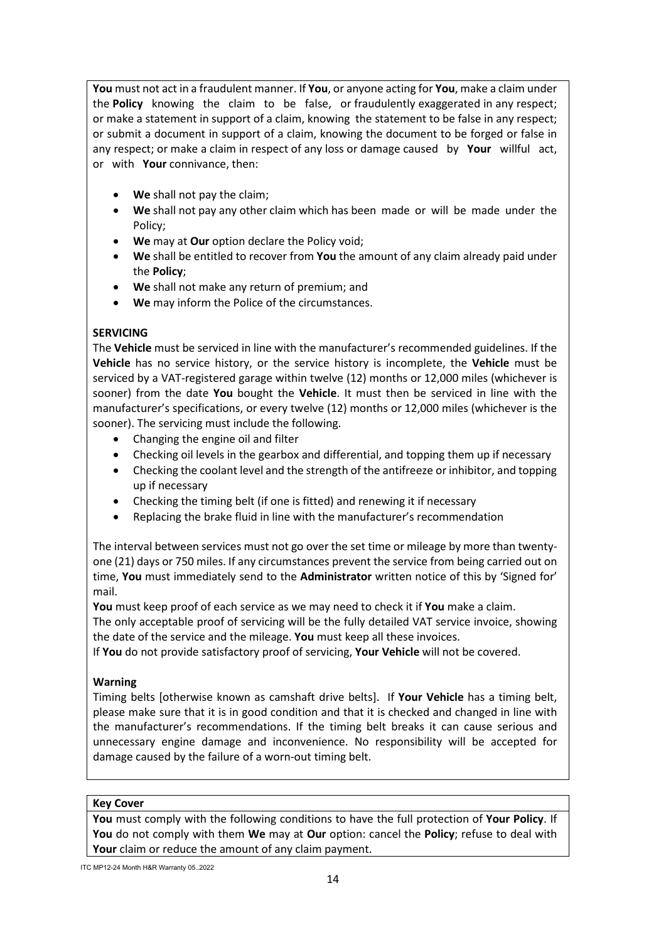**You** must not act in a fraudulent manner. If **You**, or anyone acting for **You**, make a claim under the **Policy** knowing the claim to be false, or fraudulently exaggerated in any respect; or make a statement in support of a claim, knowing the statement to be false in any respect; or submit a document in support of a claim, knowing the document to be forged or false in any respect; or make a claim in respect of any loss or damage caused by **Your** willful act, or with **Your** connivance, then:

- **We** shall not pay the claim;
- **We** shall not pay any other claim which has been made or will be made under the Policy;
- **We** may at **Our** option declare the Policy void;
- **We** shall be entitled to recover from **You** the amount of any claim already paid under the **Policy**;
- **We** shall not make any return of premium; and
- **We** may inform the Police of the circumstances.

# **SERVICING**

The **Vehicle** must be serviced in line with the manufacturer's recommended guidelines. If the **Vehicle** has no service history, or the service history is incomplete, the **Vehicle** must be serviced by a VAT-registered garage within twelve (12) months or 12,000 miles (whichever is sooner) from the date **You** bought the **Vehicle**. It must then be serviced in line with the manufacturer's specifications, or every twelve (12) months or 12,000 miles (whichever is the sooner). The servicing must include the following.

- Changing the engine oil and filter
- Checking oil levels in the gearbox and differential, and topping them up if necessary
- Checking the coolant level and the strength of the antifreeze or inhibitor, and topping up if necessary
- Checking the timing belt (if one is fitted) and renewing it if necessary
- Replacing the brake fluid in line with the manufacturer's recommendation

The interval between services must not go over the set time or mileage by more than twentyone (21) days or 750 miles. If any circumstances prevent the service from being carried out on time, **You** must immediately send to the **Administrator** written notice of this by 'Signed for' mail.

**You** must keep proof of each service as we may need to check it if **You** make a claim.

The only acceptable proof of servicing will be the fully detailed VAT service invoice, showing the date of the service and the mileage. **You** must keep all these invoices.

If **You** do not provide satisfactory proof of servicing, **Your Vehicle** will not be covered.

# **Warning**

Timing belts [otherwise known as camshaft drive belts]. If **Your Vehicle** has a timing belt, please make sure that it is in good condition and that it is checked and changed in line with the manufacturer's recommendations. If the timing belt breaks it can cause serious and unnecessary engine damage and inconvenience. No responsibility will be accepted for damage caused by the failure of a worn-out timing belt.

# **Key Cover**

**You** must comply with the following conditions to have the full protection of **Your Policy**. If **You** do not comply with them **We** may at **Our** option: cancel the **Policy**; refuse to deal with Your claim or reduce the amount of any claim payment.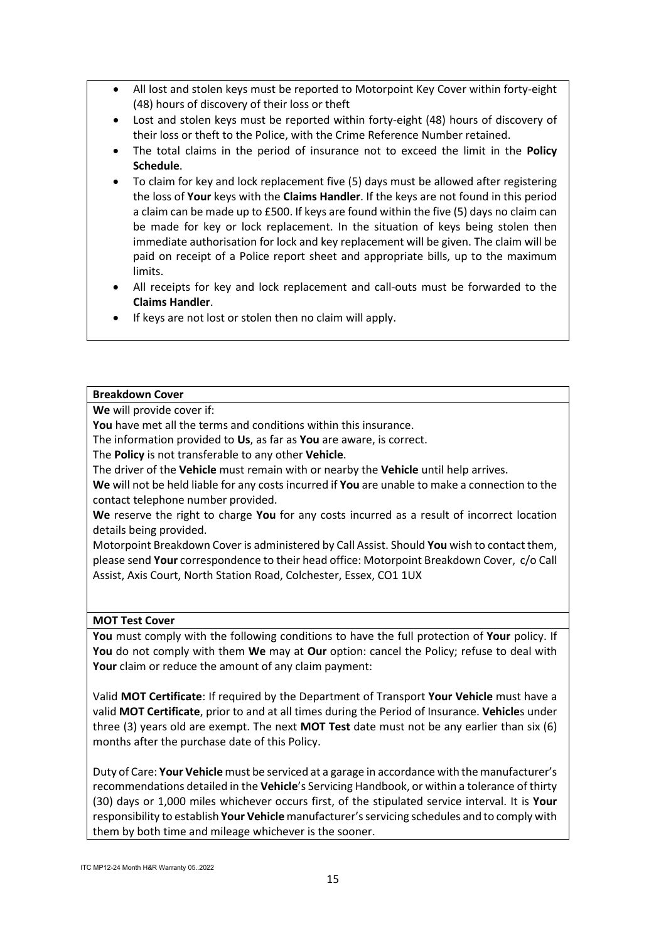- All lost and stolen keys must be reported to Motorpoint Key Cover within forty-eight (48) hours of discovery of their loss or theft
- Lost and stolen keys must be reported within forty-eight (48) hours of discovery of their loss or theft to the Police, with the Crime Reference Number retained.
- The total claims in the period of insurance not to exceed the limit in the **Policy Schedule**.
- To claim for key and lock replacement five (5) days must be allowed after registering the loss of **Your** keys with the **Claims Handler**. If the keys are not found in this period a claim can be made up to £500. If keys are found within the five (5) days no claim can be made for key or lock replacement. In the situation of keys being stolen then immediate authorisation for lock and key replacement will be given. The claim will be paid on receipt of a Police report sheet and appropriate bills, up to the maximum limits.
- All receipts for key and lock replacement and call-outs must be forwarded to the **Claims Handler**.
- If keys are not lost or stolen then no claim will apply.

### **Breakdown Cover**

**We** will provide cover if:

**You** have met all the terms and conditions within this insurance.

The information provided to **Us**, as far as **You** are aware, is correct.

The **Policy** is not transferable to any other **Vehicle**.

The driver of the **Vehicle** must remain with or nearby the **Vehicle** until help arrives.

**We** will not be held liable for any costs incurred if **You** are unable to make a connection to the contact telephone number provided.

**We** reserve the right to charge **You** for any costs incurred as a result of incorrect location details being provided.

Motorpoint Breakdown Cover is administered by Call Assist. Should **You** wish to contact them, please send **Your** correspondence to their head office: Motorpoint Breakdown Cover, c/o Call Assist, Axis Court, North Station Road, Colchester, Essex, CO1 1UX

### **MOT Test Cover**

**You** must comply with the following conditions to have the full protection of **Your** policy. If **You** do not comply with them **We** may at **Our** option: cancel the Policy; refuse to deal with **Your** claim or reduce the amount of any claim payment:

Valid **MOT Certificate**: If required by the Department of Transport **Your Vehicle** must have a valid **MOT Certificate**, prior to and at all times during the Period of Insurance. **Vehicle**s under three (3) years old are exempt. The next **MOT Test** date must not be any earlier than six (6) months after the purchase date of this Policy.

Duty of Care: **Your Vehicle** must be serviced at a garage in accordance with the manufacturer's recommendations detailed in the **Vehicle**'s Servicing Handbook, or within a tolerance of thirty (30) days or 1,000 miles whichever occurs first, of the stipulated service interval. It is **Your** responsibility to establish **Your Vehicle** manufacturer's servicing schedules and to comply with them by both time and mileage whichever is the sooner.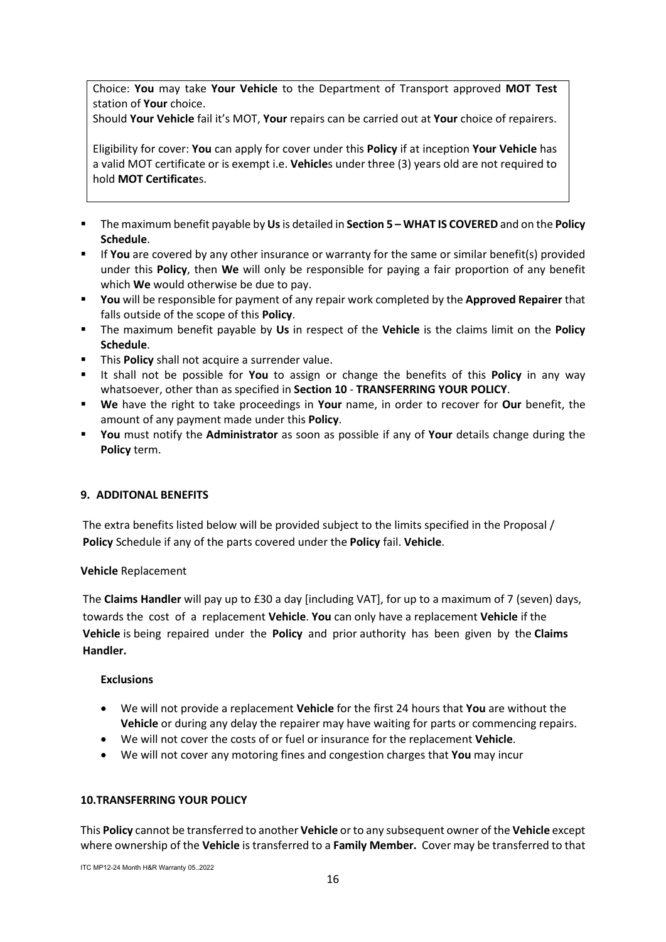Choice: **You** may take **Your Vehicle** to the Department of Transport approved **MOT Test** station of **Your** choice.

Should **Your Vehicle** fail it's MOT, **Your** repairs can be carried out at **Your** choice of repairers.

Eligibility for cover: **You** can apply for cover under this **Policy** if at inception **Your Vehicle** has a valid MOT certificate or is exempt i.e. **Vehicle**s under three (3) years old are not required to hold **MOT Certificate**s.

- The maximum benefit payable by **Us**is detailed in **Section 5 – WHAT IS COVERED** and on the **Policy Schedule**.
- If **You** are covered by any other insurance or warranty for the same or similar benefit(s) provided under this **Policy**, then **We** will only be responsible for paying a fair proportion of any benefit which **We** would otherwise be due to pay.
- **You** will be responsible for payment of any repair work completed by the **Approved Repairer** that falls outside of the scope of this **Policy**.
- The maximum benefit payable by **Us** in respect of the **Vehicle** is the claims limit on the **Policy Schedule**.
- **This Policy** shall not acquire a surrender value.
- It shall not be possible for **You** to assign or change the benefits of this **Policy** in any way whatsoever, other than as specified in **Section 10** - **TRANSFERRING YOUR POLICY**.
- **We** have the right to take proceedings in **Your** name, in order to recover for **Our** benefit, the amount of any payment made under this **Policy**.
- **You** must notify the **Administrator** as soon as possible if any of **Your** details change during the **Policy** term.

### **9. ADDITONAL BENEFITS**

The extra benefits listed below will be provided subject to the limits specified in the Proposal / **Policy** Schedule if any of the parts covered under the **Policy** fail. **Vehicle**.

### **Vehicle** Replacement

The **Claims Handler** will pay up to £30 a day [including VAT], for up to a maximum of 7 (seven) days, towards the cost of a replacement **Vehicle**. **You** can only have a replacement **Vehicle** if the **Vehicle** is being repaired under the **Policy** and prior authority has been given by the **Claims Handler.** 

### **Exclusions**

- We will not provide a replacement **Vehicle** for the first 24 hours that **You** are without the **Vehicle** or during any delay the repairer may have waiting for parts or commencing repairs.
- We will not cover the costs of or fuel or insurance for the replacement **Vehicle**.
- We will not cover any motoring fines and congestion charges that **You** may incur

# **10.TRANSFERRING YOUR POLICY**

This **Policy** cannot be transferred to another **Vehicle** or to any subsequent owner of the **Vehicle** except where ownership of the **Vehicle** is transferred to a **Family Member.** Cover may be transferred to that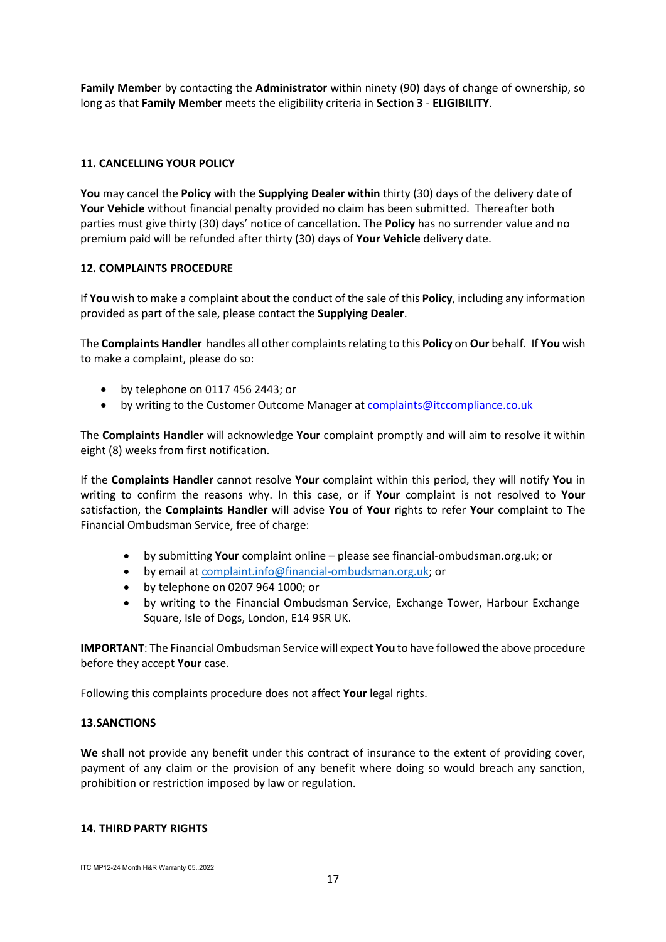**Family Member** by contacting the **Administrator** within ninety (90) days of change of ownership, so long as that **Family Member** meets the eligibility criteria in **Section 3** - **ELIGIBILITY**.

### **11. CANCELLING YOUR POLICY**

**You** may cancel the **Policy** with the **Supplying Dealer within** thirty (30) days of the delivery date of **Your Vehicle** without financial penalty provided no claim has been submitted. Thereafter both parties must give thirty (30) days' notice of cancellation. The **Policy** has no surrender value and no premium paid will be refunded after thirty (30) days of **Your Vehicle** delivery date.

### **12. COMPLAINTS PROCEDURE**

If **You** wish to make a complaint about the conduct of the sale of this **Policy**, including any information provided as part of the sale, please contact the **Supplying Dealer**.

The **Complaints Handler** handles all other complaints relating to this **Policy** on **Our** behalf. If **You** wish to make a complaint, please do so:

- by telephone on 0117 456 2443; or
- by writing to the Customer Outcome Manager a[t complaints@itccompliance.co.uk](mailto:complaints@itccompliance.co.uk)

The **Complaints Handler** will acknowledge **Your** complaint promptly and will aim to resolve it within eight (8) weeks from first notification.

If the **Complaints Handler** cannot resolve **Your** complaint within this period, they will notify **You** in writing to confirm the reasons why. In this case, or if **Your** complaint is not resolved to **Your** satisfaction, the **Complaints Handler** will advise **You** of **Your** rights to refer **Your** complaint to The Financial Ombudsman Service, free of charge:

- by submitting **Your** complaint online please see financial-ombudsman.org.uk; or
- by email at [complaint.info@financial-ombudsman.org.uk;](mailto:complaint.info@financial-ombudsman.org.uk) or
- by telephone on 0207 964 1000; or
- by writing to the Financial Ombudsman Service, Exchange Tower, Harbour Exchange Square, Isle of Dogs, London, E14 9SR UK.

**IMPORTANT**: The Financial Ombudsman Service will expect **You** to have followed the above procedure before they accept **Your** case.

Following this complaints procedure does not affect **Your** legal rights.

### **13.SANCTIONS**

**We** shall not provide any benefit under this contract of insurance to the extent of providing cover, payment of any claim or the provision of any benefit where doing so would breach any sanction, prohibition or restriction imposed by law or regulation.

### **14. THIRD PARTY RIGHTS**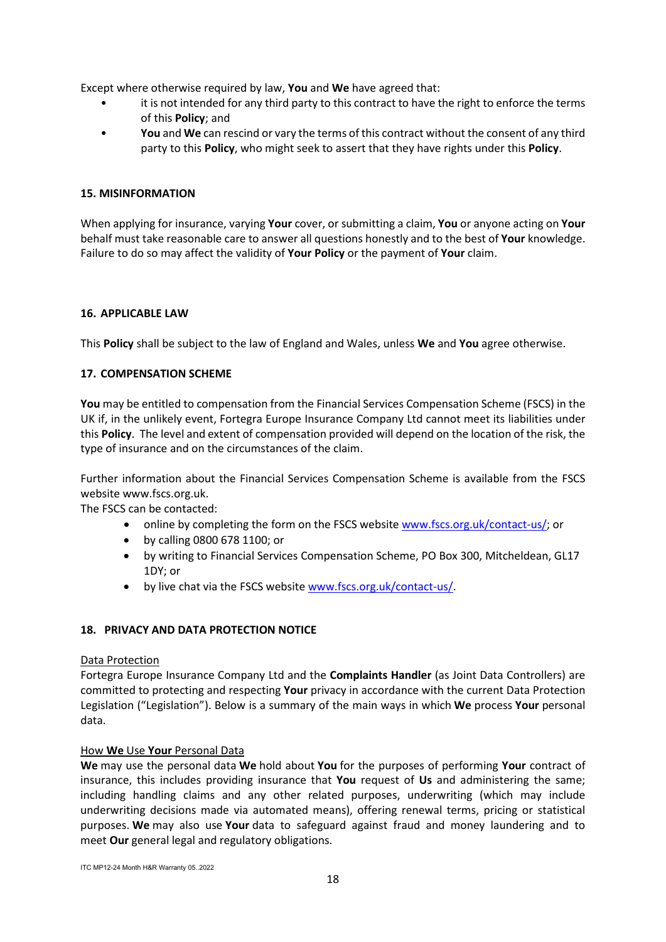Except where otherwise required by law, **You** and **We** have agreed that:

- it is not intended for any third party to this contract to have the right to enforce the terms of this **Policy**; and
- **You** and **We** can rescind or vary the terms of this contract without the consent of any third party to this **Policy**, who might seek to assert that they have rights under this **Policy**.

### **15. MISINFORMATION**

When applying for insurance, varying **Your** cover, or submitting a claim, **You** or anyone acting on **Your** behalf must take reasonable care to answer all questions honestly and to the best of **Your** knowledge. Failure to do so may affect the validity of **Your Policy** or the payment of **Your** claim.

### **16. APPLICABLE LAW**

This **Policy** shall be subject to the law of England and Wales, unless **We** and **You** agree otherwise.

### **17. COMPENSATION SCHEME**

**You** may be entitled to compensation from the Financial Services Compensation Scheme (FSCS) in the UK if, in the unlikely event, Fortegra Europe Insurance Company Ltd cannot meet its liabilities under this **Policy**. The level and extent of compensation provided will depend on the location of the risk, the type of insurance and on the circumstances of the claim.

Further information about the Financial Services Compensation Scheme is available from the FSCS website www.fscs.org.uk.

The FSCS can be contacted:

- online by completing the form on the FSCS website [www.fscs.org.uk/contact-us/;](http://www.fscs.org.uk/contact-us/) or
- by calling 0800 678 1100; or
- by writing to Financial Services Compensation Scheme, PO Box 300, Mitcheldean, GL17 1DY; or
- by live chat via the FSCS website [www.fscs.org.uk/contact-us/.](http://www.fscs.org.uk/contact-us/)

### **18. PRIVACY AND DATA PROTECTION NOTICE**

### Data Protection

Fortegra Europe Insurance Company Ltd and the **Complaints Handler** (as Joint Data Controllers) are committed to protecting and respecting **Your** privacy in accordance with the current Data Protection Legislation ("Legislation"). Below is a summary of the main ways in which **We** process **Your** personal data.

### How **We** Use **Your** Personal Data

**We** may use the personal data **We** hold about **You** for the purposes of performing **Your** contract of insurance, this includes providing insurance that **You** request of **Us** and administering the same; including handling claims and any other related purposes, underwriting (which may include underwriting decisions made via automated means), offering renewal terms, pricing or statistical purposes. **We** may also use **Your** data to safeguard against fraud and money laundering and to meet **Our** general legal and regulatory obligations.